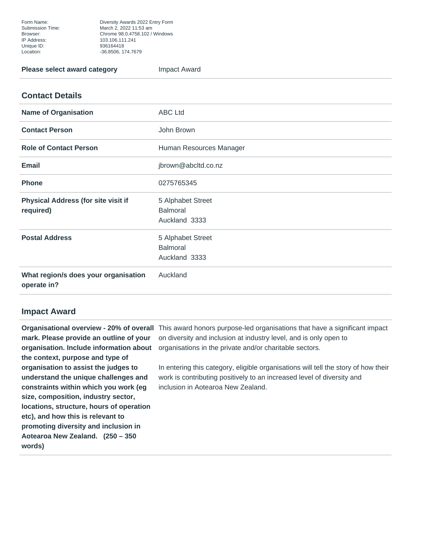Form Name: Diversity Awards 2022 Entry Form Submission Time: March 2, 2022 11:53 am Browser: Chrome 98.0.4758.102 / Windows Unique ID: 936164418 Location: -36.8506, 174.7679

## **Please select award category Figure 2.1 Impact Award**

## **Contact Details**

| <b>Name of Organisation</b>                             | <b>ABC Ltd</b>                                        |
|---------------------------------------------------------|-------------------------------------------------------|
| <b>Contact Person</b>                                   | John Brown                                            |
| <b>Role of Contact Person</b>                           | Human Resources Manager                               |
| <b>Email</b>                                            | jbrown@abcltd.co.nz                                   |
| <b>Phone</b>                                            | 0275765345                                            |
| <b>Physical Address (for site visit if</b><br>required) | 5 Alphabet Street<br><b>Balmoral</b><br>Auckland 3333 |
| <b>Postal Address</b>                                   | 5 Alphabet Street<br><b>Balmoral</b><br>Auckland 3333 |
| What region/s does your organisation<br>operate in?     | Auckland                                              |

## **Impact Award**

**mark. Please provide an outline of your organisation. Include information about the context, purpose and type of organisation to assist the judges to understand the unique challenges and constraints within which you work (eg size, composition, industry sector, locations, structure, hours of operation etc), and how this is relevant to promoting diversity and inclusion in Aotearoa New Zealand. (250 – 350 words)**

**Organisational overview - 20% of overall** This award honors purpose-led organisations that have a significant impact on diversity and inclusion at industry level, and is only open to organisations in the private and/or charitable sectors.

> In entering this category, eligible organisations will tell the story of how their work is contributing positively to an increased level of diversity and inclusion in Aotearoa New Zealand.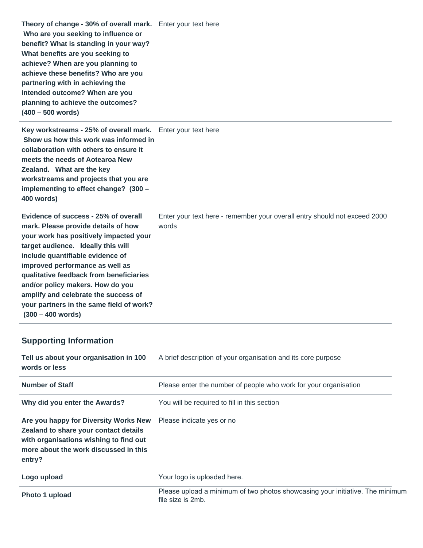**Theory of change - 30% of overall mark.**  Enter your text here  **Who are you seeking to influence or benefit? What is standing in your way? What benefits are you seeking to achieve? When are you planning to achieve these benefits? Who are you partnering with in achieving the intended outcome? When are you planning to achieve the outcomes? (400 – 500 words)**

**Key workstreams - 25% of overall mark.**  Enter your text here  **Show us how this work was informed in collaboration with others to ensure it meets the needs of Aotearoa New Zealand. What are the key workstreams and projects that you are implementing to effect change? (300 – 400 words)**

**Evidence of success - 25% of overall mark. Please provide details of how your work has positively impacted your target audience. Ideally this will include quantifiable evidence of improved performance as well as qualitative feedback from beneficiaries and/or policy makers. How do you amplify and celebrate the success of your partners in the same field of work? (300 – 400 words)**

Enter your text here - remember your overall entry should not exceed 2000 words

## **Supporting Information**

| Tell us about your organisation in 100<br>words or less                                                                                                                     | A brief description of your organisation and its core purpose                                      |
|-----------------------------------------------------------------------------------------------------------------------------------------------------------------------------|----------------------------------------------------------------------------------------------------|
| <b>Number of Staff</b>                                                                                                                                                      | Please enter the number of people who work for your organisation                                   |
| Why did you enter the Awards?                                                                                                                                               | You will be required to fill in this section                                                       |
| Are you happy for Diversity Works New<br>Zealand to share your contact details<br>with organisations wishing to find out<br>more about the work discussed in this<br>entry? | Please indicate yes or no                                                                          |
| Logo upload                                                                                                                                                                 | Your logo is uploaded here.                                                                        |
| Photo 1 upload                                                                                                                                                              | Please upload a minimum of two photos showcasing your initiative. The minimum<br>file size is 2mb. |
|                                                                                                                                                                             |                                                                                                    |